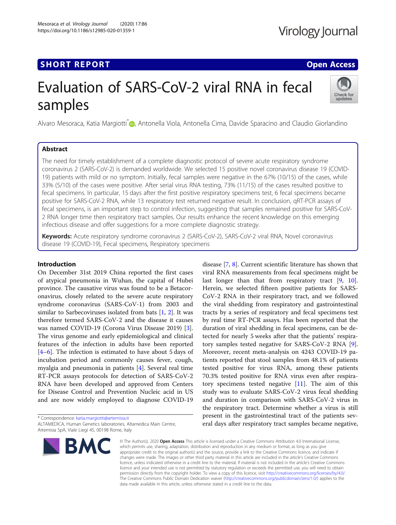# **SHORT REPORT CONTRACT CONTRACT CONTRACT CONTRACT CONTRACT CONTRACT CONTRACT CONTRACT CONTRACT CONTRACT CONTRACT CONTRACT CONTRACT CONTRACT CONTRACT CONTRACT CONTRACT CONTRACT CONTRACT CONTRACT CONTRACT CONTRACT CONTRACT C**

# Virology Journal

# Evaluation of SARS-CoV-2 viral RNA in fecal samples



Alvaro Mesoraca[,](http://orcid.org/0000-0003-0432-1525) Katia Margiotti<sup>\*</sup> (**p.** Antonella Viola, Antonella Cima, Davide Sparacino and Claudio Giorlandino

### Abstract

The need for timely establishment of a complete diagnostic protocol of severe acute respiratory syndrome coronavirus 2 (SARS-CoV-2) is demanded worldwide. We selected 15 positive novel coronavirus disease 19 (COVID-19) patients with mild or no symptom. Initially, fecal samples were negative in the 67% (10/15) of the cases, while 33% (5/10) of the cases were positive. After serial virus RNA testing, 73% (11/15) of the cases resulted positive to fecal specimens. In particular, 15 days after the first positive respiratory specimens test, 6 fecal specimens became positive for SARS-CoV-2 RNA, while 13 respiratory test returned negative result. In conclusion, qRT-PCR assays of fecal specimens, is an important step to control infection, suggesting that samples remained positive for SARS-CoV-2 RNA longer time then respiratory tract samples. Our results enhance the recent knowledge on this emerging infectious disease and offer suggestions for a more complete diagnostic strategy.

Keywords: Acute respiratory syndrome coronavirus 2 (SARS-CoV-2), SARS-CoV-2 viral RNA, Novel coronavirus disease 19 (COVID-19), Fecal specimens, Respiratory specimens

#### Introduction

On December 31st 2019 China reported the first cases of atypical pneumonia in Wuhan, the capital of Hubei province. The causative virus was found to be a Betacoronavirus, closely related to the severe acute respiratory syndrome coronavirus (SARS-CoV-1) from 2003 and similar to Sarbecoviruses isolated from bats [\[1](#page-2-0), [2](#page-2-0)]. It was therefore termed SARS-CoV-2 and the disease it causes was named COVID-19 (Corona Virus Disease 2019) [\[3](#page-2-0)]. The virus genome and early epidemiological and clinical features of the infection in adults have been reported [[4](#page-2-0)–[6\]](#page-2-0). The infection is estimated to have about 5 days of incubation period and commonly causes fever, cough, myalgia and pneumonia in patients [\[4](#page-2-0)]. Several real time RT-PCR assays protocols for detection of SARS-CoV-2 RNA have been developed and approved from Centers for Disease Control and Prevention Nucleic acid in US and are now widely employed to diagnose COVID-19

\* Correspondence: [katia.margiotti@artemisia.it](mailto:katia.margiotti@artemisia.it) ALTAMEDICA, Human Genetics laboratories, Altamedica Main Centre, Artemisia SpA, Viale Liegi 45, 00198 Rome, Italy



disease [\[7](#page-2-0), [8](#page-2-0)]. Current scientific literature has shown that viral RNA measurements from fecal specimens might be last longer than that from respiratory tract [[9,](#page-2-0) [10](#page-2-0)]. Herein, we selected fifteen positive patients for SARS-CoV-2 RNA in their respiratory tract, and we followed the viral shedding from respiratory and gastrointestinal tracts by a series of respiratory and fecal specimens test by real time RT-PCR assays. Has been reported that the duration of viral shedding in fecal specimens, can be detected for nearly 5 weeks after that the patients' respiratory samples tested negative for SARS-CoV-2 RNA [\[9](#page-2-0)]. Moreover, recent meta-analysis on 4243 COVID-19 patients reported that stool samples from 48.1% of patients tested positive for virus RNA, among these patients 70.3% tested positive for RNA virus even after respiratory specimens tested negative  $[11]$  $[11]$  $[11]$ . The aim of this study was to evaluate SARS-CoV-2 virus fecal shedding and duration in comparison with SARS-CoV-2 virus in the respiratory tract. Determine whether a virus is still present in the gastrointestinal tract of the patients several days after respiratory tract samples became negative,

© The Author(s), 2020 **Open Access** This article is licensed under a Creative Commons Attribution 4.0 International License, which permits use, sharing, adaptation, distribution and reproduction in any medium or format, as long as you give appropriate credit to the original author(s) and the source, provide a link to the Creative Commons licence, and indicate if changes were made. The images or other third party material in this article are included in the article's Creative Commons licence, unless indicated otherwise in a credit line to the material. If material is not included in the article's Creative Commons licence and your intended use is not permitted by statutory regulation or exceeds the permitted use, you will need to obtain permission directly from the copyright holder. To view a copy of this licence, visit [http://creativecommons.org/licenses/by/4.0/.](http://creativecommons.org/licenses/by/4.0/) The Creative Commons Public Domain Dedication waiver [\(http://creativecommons.org/publicdomain/zero/1.0/](http://creativecommons.org/publicdomain/zero/1.0/)) applies to the data made available in this article, unless otherwise stated in a credit line to the data.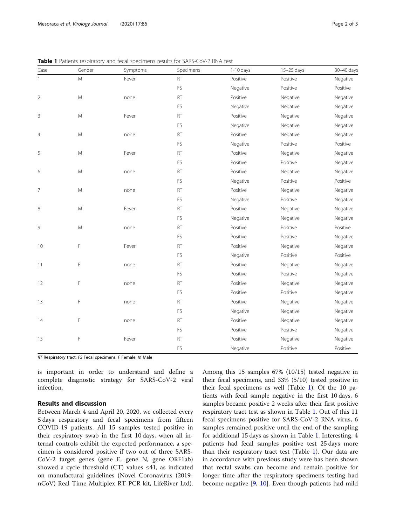| Case           | Gender    | Symptoms | Specimens | $1-10$ days | 15-25 days | 30-40 days |
|----------------|-----------|----------|-----------|-------------|------------|------------|
| $\mathbf{1}$   | M         | Fever    | <b>RT</b> | Positive    | Positive   | Negative   |
|                |           |          | FS        | Negative    | Positive   | Positive   |
| $\overline{2}$ | M         | none     | RT        | Positive    | Negative   | Negative   |
|                |           |          | FS        | Negative    | Negative   | Negative   |
| $\overline{3}$ | M         | Fever    | RT        | Positive    | Negative   | Negative   |
|                |           |          | FS        | Negative    | Negative   | Negative   |
| $\overline{4}$ | M         | none     | <b>RT</b> | Positive    | Negative   | Negative   |
|                |           |          | FS        | Negative    | Positive   | Positive   |
| 5              | M         | Fever    | <b>RT</b> | Positive    | Negative   | Negative   |
|                |           |          | FS        | Positive    | Positive   | Negative   |
| 6              | M         | none     | RT        | Positive    | Negative   | Negative   |
|                |           |          | FS        | Negative    | Positive   | Positive   |
| $\overline{7}$ | M         | none     | <b>RT</b> | Positive    | Negative   | Negative   |
|                |           |          | FS        | Negative    | Positive   | Negative   |
| 8              | ${\sf M}$ | Fever    | <b>RT</b> | Positive    | Negative   | Negative   |
|                |           |          | FS        | Negative    | Negative   | Negative   |
| 9              | M         | none     | <b>RT</b> | Positive    | Positive   | Positive   |
|                |           |          | <b>FS</b> | Positive    | Positive   | Negative   |
| 10             | F         | Fever    | RT        | Positive    | Negative   | Negative   |
|                |           |          | FS        | Negative    | Positive   | Positive   |
| 11             | F         | none     | RT        | Positive    | Negative   | Negative   |
|                |           |          | FS        | Positive    | Positive   | Negative   |
| 12             | F         | none     | <b>RT</b> | Positive    | Negative   | Negative   |
|                |           |          | <b>FS</b> | Positive    | Positive   | Negative   |
| 13             | F         | none     | <b>RT</b> | Positive    | Negative   | Negative   |
|                |           |          | FS        | Negative    | Negative   | Negative   |
| 14             | F         | none     | <b>RT</b> | Positive    | Negative   | Negative   |
|                |           |          | <b>FS</b> | Positive    | Positive   | Negative   |
| 15             | F         | Fever    | RT        | Positive    | Negative   | Negative   |
|                |           |          | FS        | Negative    | Positive   | Positive   |

Table 1 Patients respiratory and fecal specimens results for SARS-CoV-2 RNA test

RT Respiratory tract, FS Fecal specimens, F Female, M Male

is important in order to understand and define a complete diagnostic strategy for SARS-CoV-2 viral infection.

### Results and discussion

Between March 4 and April 20, 2020, we collected every 5 days respiratory and fecal specimens from fifteen COVID-19 patients. All 15 samples tested positive in their respiratory swab in the first 10 days, when all internal controls exhibit the expected performance, a specimen is considered positive if two out of three SARS-CoV-2 target genes (gene E, gene N, gene ORF1ab) showed a cycle threshold (CT) values  $\leq 41$ , as indicated on manufactural guidelines (Novel Coronavirus (2019 nCoV) Real Time Multiplex RT-PCR kit, LifeRiver Ltd).

Among this 15 samples 67% (10/15) tested negative in their fecal specimens, and 33% (5/10) tested positive in their fecal specimens as well (Table 1). Of the 10 patients with fecal sample negative in the first 10 days, 6 samples became positive 2 weeks after their first positive respiratory tract test as shown in Table 1. Out of this 11 fecal specimens positive for SARS-CoV-2 RNA virus, 6 samples remained positive until the end of the sampling for additional 15 days as shown in Table 1. Interesting, 4 patients had fecal samples positive test 25 days more than their respiratory tract test (Table 1). Our data are in accordance with previous study were has been shown that rectal swabs can become and remain positive for longer time after the respiratory specimens testing had become negative [\[9](#page-2-0), [10\]](#page-2-0). Even though patients had mild